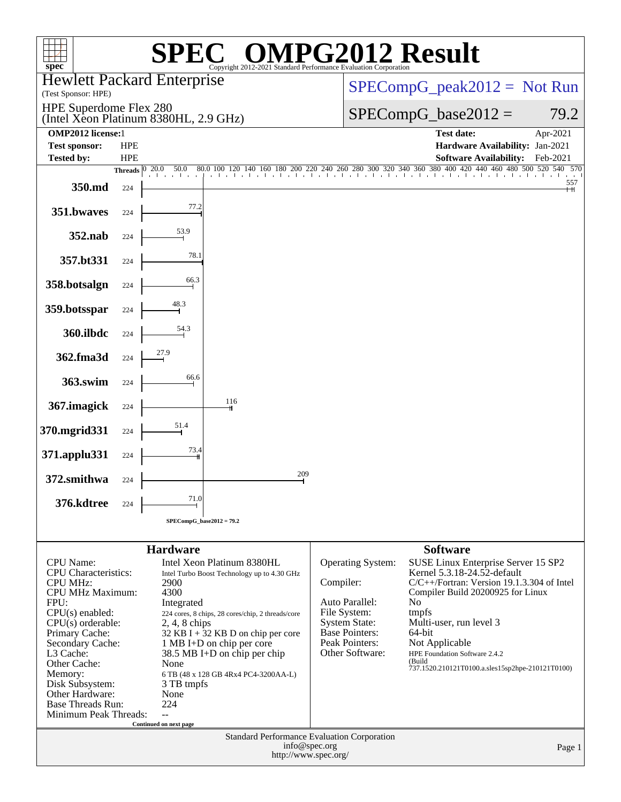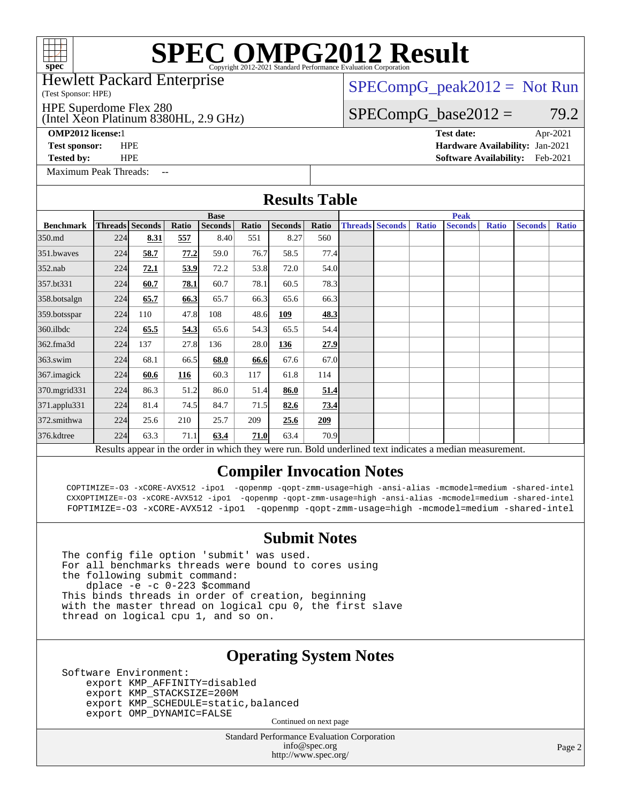# **[SPEC OMPG2012 Result](http://www.spec.org/auto/omp2012/Docs/result-fields.html#SPECOMPG2012Result)**

### Hewlett Packard Enterprise

### (Test Sponsor: HPE)

HPE Superdome Flex 280

### (Intel Xeon Platinum 8380HL, 2.9 GHz)

**[OMP2012 license:](http://www.spec.org/auto/omp2012/Docs/result-fields.html#OMP2012license)**1 **[Test date:](http://www.spec.org/auto/omp2012/Docs/result-fields.html#Testdate)** Apr-2021

[Maximum Peak Threads:](http://www.spec.org/auto/omp2012/Docs/result-fields.html#MaximumPeakThreads)

 $SPECompG_peak2012 = Not Run$  $SPECompG_peak2012 = Not Run$ 

## $SPECompG_base2012 = 79.2$  $SPECompG_base2012 = 79.2$

**[Test sponsor:](http://www.spec.org/auto/omp2012/Docs/result-fields.html#Testsponsor)** HPE **[Hardware Availability:](http://www.spec.org/auto/omp2012/Docs/result-fields.html#HardwareAvailability)** Jan-2021 **[Tested by:](http://www.spec.org/auto/omp2012/Docs/result-fields.html#Testedby)** HPE **[Software Availability:](http://www.spec.org/auto/omp2012/Docs/result-fields.html#SoftwareAvailability)** Feb-2021

**[Results Table](http://www.spec.org/auto/omp2012/Docs/result-fields.html#ResultsTable)**

|                  |             |                 |       |                |       | IWUU LUVIV     |       |             |                        |              |                                                                                                          |              |                |              |
|------------------|-------------|-----------------|-------|----------------|-------|----------------|-------|-------------|------------------------|--------------|----------------------------------------------------------------------------------------------------------|--------------|----------------|--------------|
|                  | <b>Base</b> |                 |       |                |       |                |       | <b>Peak</b> |                        |              |                                                                                                          |              |                |              |
| <b>Benchmark</b> |             | Threads Seconds | Ratio | <b>Seconds</b> | Ratio | <b>Seconds</b> | Ratio |             | <b>Threads Seconds</b> | <b>Ratio</b> | <b>Seconds</b>                                                                                           | <b>Ratio</b> | <b>Seconds</b> | <b>Ratio</b> |
| 350.md           | 224         | 8.31            | 557   | 8.40           | 551   | 8.27           | 560   |             |                        |              |                                                                                                          |              |                |              |
| 351.bwaves       | 224         | 58.7            | 77.2  | 59.0           | 76.7  | 58.5           | 77.4  |             |                        |              |                                                                                                          |              |                |              |
| 352.nab          | 224         | 72.1            | 53.9  | 72.2           | 53.8  | 72.0           | 54.0  |             |                        |              |                                                                                                          |              |                |              |
| 357.bt331        | 224         | 60.7            | 78.1  | 60.7           | 78.1  | 60.5           | 78.3  |             |                        |              |                                                                                                          |              |                |              |
| 358.botsalgn     | 224         | 65.7            | 66.3  | 65.7           | 66.3  | 65.6           | 66.3  |             |                        |              |                                                                                                          |              |                |              |
| 359.botsspar     | 224         | 110             | 47.8  | 108            | 48.6  | 109            | 48.3  |             |                        |              |                                                                                                          |              |                |              |
| $360$ .ilbdc     | 224         | 65.5            | 54.3  | 65.6           | 54.3  | 65.5           | 54.4  |             |                        |              |                                                                                                          |              |                |              |
| 362.fma3d        | 224         | 137             | 27.8  | 136            | 28.0  | <u>136</u>     | 27.9  |             |                        |              |                                                                                                          |              |                |              |
| $363$ .swim      | 224         | 68.1            | 66.5  | 68.0           | 66.6  | 67.6           | 67.0  |             |                        |              |                                                                                                          |              |                |              |
| 367.imagick      | 224         | 60.6            | 116   | 60.3           | 117   | 61.8           | 114   |             |                        |              |                                                                                                          |              |                |              |
| 370.mgrid331     | 224         | 86.3            | 51.2  | 86.0           | 51.4  | 86.0           | 51.4  |             |                        |              |                                                                                                          |              |                |              |
| 371.applu331     | 224         | 81.4            | 74.5  | 84.7           | 71.5  | 82.6           | 73.4  |             |                        |              |                                                                                                          |              |                |              |
| 372.smithwa      | 224         | 25.6            | 210   | 25.7           | 209   | 25.6           | 209   |             |                        |              |                                                                                                          |              |                |              |
| 376.kdtree       | 224         | 63.3            | 71.1  | 63.4           | 71.0  | 63.4           | 70.9  |             |                        |              |                                                                                                          |              |                |              |
|                  |             |                 |       |                |       |                |       |             |                        |              | Results appear in the order in which they were run. Bold underlined text indicates a median measurement. |              |                |              |

### **[Compiler Invocation Notes](http://www.spec.org/auto/omp2012/Docs/result-fields.html#CompilerInvocationNotes)**

 COPTIMIZE=-O3 -xCORE-AVX512 -ipo1 -qopenmp -qopt-zmm-usage=high -ansi-alias -mcmodel=medium -shared-intel CXXOPTIMIZE=-O3 -xCORE-AVX512 -ipo1 -qopenmp -qopt-zmm-usage=high -ansi-alias -mcmodel=medium -shared-intel FOPTIMIZE=-O3 -xCORE-AVX512 -ipo1 -qopenmp -qopt-zmm-usage=high -mcmodel=medium -shared-intel

### **[Submit Notes](http://www.spec.org/auto/omp2012/Docs/result-fields.html#SubmitNotes)**

The config file option 'submit' was used. For all benchmarks threads were bound to cores using the following submit command: dplace -e -c 0-223 \$command This binds threads in order of creation, beginning with the master thread on logical cpu 0, the first slave thread on logical cpu 1, and so on.

### **[Operating System Notes](http://www.spec.org/auto/omp2012/Docs/result-fields.html#OperatingSystemNotes)**

Software Environment: export KMP\_AFFINITY=disabled export KMP\_STACKSIZE=200M export KMP\_SCHEDULE=static,balanced export OMP\_DYNAMIC=FALSE

Continued on next page

Standard Performance Evaluation Corporation [info@spec.org](mailto:info@spec.org) <http://www.spec.org/>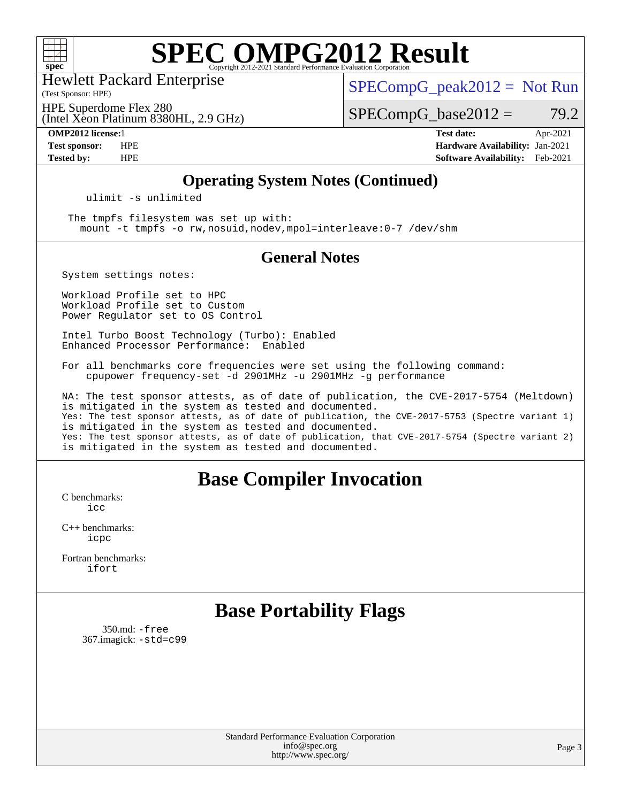

# **[SPEC OMPG2012 Result](http://www.spec.org/auto/omp2012/Docs/result-fields.html#SPECOMPG2012Result)**

Hewlett Packard Enterprise

 $SPECompG_peak2012 = Not Run$  $SPECompG_peak2012 = Not Run$ 

(Test Sponsor: HPE)

(Intel Xeon Platinum 8380HL, 2.9 GHz) HPE Superdome Flex 280

 $SPECompG_base2012 = 79.2$  $SPECompG_base2012 = 79.2$ 

**[OMP2012 license:](http://www.spec.org/auto/omp2012/Docs/result-fields.html#OMP2012license)**1 **[Test date:](http://www.spec.org/auto/omp2012/Docs/result-fields.html#Testdate)** Apr-2021 **[Test sponsor:](http://www.spec.org/auto/omp2012/Docs/result-fields.html#Testsponsor)** HPE **[Hardware Availability:](http://www.spec.org/auto/omp2012/Docs/result-fields.html#HardwareAvailability)** Jan-2021 **[Tested by:](http://www.spec.org/auto/omp2012/Docs/result-fields.html#Testedby)** HPE **[Software Availability:](http://www.spec.org/auto/omp2012/Docs/result-fields.html#SoftwareAvailability)** Feb-2021

### **[Operating System Notes \(Continued\)](http://www.spec.org/auto/omp2012/Docs/result-fields.html#OperatingSystemNotes)**

ulimit -s unlimited

 The tmpfs filesystem was set up with: mount -t tmpfs -o rw,nosuid,nodev,mpol=interleave:0-7 /dev/shm

### **[General Notes](http://www.spec.org/auto/omp2012/Docs/result-fields.html#GeneralNotes)**

System settings notes:

Workload Profile set to HPC Workload Profile set to Custom Power Regulator set to OS Control

Intel Turbo Boost Technology (Turbo): Enabled Enhanced Processor Performance: Enabled

For all benchmarks core frequencies were set using the following command: cpupower frequency-set -d 2901MHz -u 2901MHz -g performance

NA: The test sponsor attests, as of date of publication, the CVE-2017-5754 (Meltdown) is mitigated in the system as tested and documented. Yes: The test sponsor attests, as of date of publication, the CVE-2017-5753 (Spectre variant 1) is mitigated in the system as tested and documented. Yes: The test sponsor attests, as of date of publication, that CVE-2017-5754 (Spectre variant 2) is mitigated in the system as tested and documented.

## **[Base Compiler Invocation](http://www.spec.org/auto/omp2012/Docs/result-fields.html#BaseCompilerInvocation)**

[C benchmarks](http://www.spec.org/auto/omp2012/Docs/result-fields.html#Cbenchmarks): [icc](http://www.spec.org/omp2012/results/res2021q2/omp2012-20210406-00199.flags.html#user_CCbase_intel_icc_a87c68a857bc5ec5362391a49d3a37a6)

[C++ benchmarks:](http://www.spec.org/auto/omp2012/Docs/result-fields.html#CXXbenchmarks) [icpc](http://www.spec.org/omp2012/results/res2021q2/omp2012-20210406-00199.flags.html#user_CXXbase_intel_icpc_2d899f8d163502b12eb4a60069f80c1c)

[Fortran benchmarks](http://www.spec.org/auto/omp2012/Docs/result-fields.html#Fortranbenchmarks): [ifort](http://www.spec.org/omp2012/results/res2021q2/omp2012-20210406-00199.flags.html#user_FCbase_intel_ifort_8a5e5e06b19a251bdeaf8fdab5d62f20)

# **[Base Portability Flags](http://www.spec.org/auto/omp2012/Docs/result-fields.html#BasePortabilityFlags)**

 350.md: [-free](http://www.spec.org/omp2012/results/res2021q2/omp2012-20210406-00199.flags.html#user_baseFPORTABILITY350_md_free) 367.imagick: [-std=c99](http://www.spec.org/omp2012/results/res2021q2/omp2012-20210406-00199.flags.html#user_baseCPORTABILITY367_imagick_std_2ec6533b6e06f1c4a6c9b78d9e9cde24)

> Standard Performance Evaluation Corporation [info@spec.org](mailto:info@spec.org) <http://www.spec.org/>